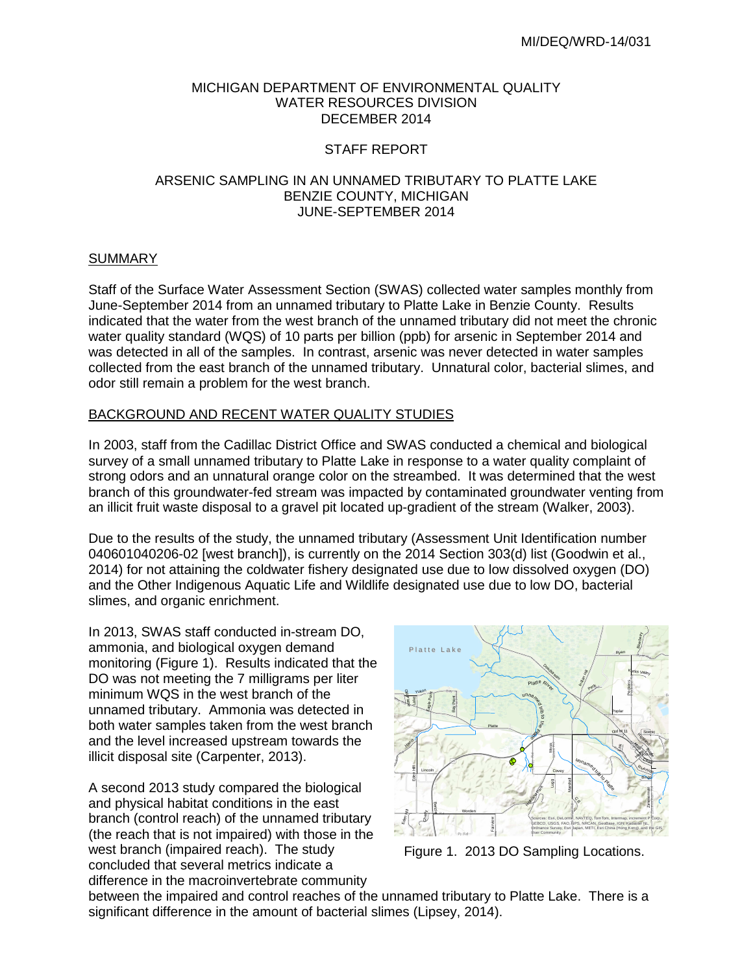## MICHIGAN DEPARTMENT OF ENVIRONMENTAL QUALITY WATER RESOURCES DIVISION DECEMBER 2014

## STAFF REPORT

## ARSENIC SAMPLING IN AN UNNAMED TRIBUTARY TO PLATTE LAKE BENZIE COUNTY, MICHIGAN JUNE-SEPTEMBER 2014

## **SUMMARY**

Staff of the Surface Water Assessment Section (SWAS) collected water samples monthly from June-September 2014 from an unnamed tributary to Platte Lake in Benzie County. Results indicated that the water from the west branch of the unnamed tributary did not meet the chronic water quality standard (WQS) of 10 parts per billion (ppb) for arsenic in September 2014 and was detected in all of the samples. In contrast, arsenic was never detected in water samples collected from the east branch of the unnamed tributary. Unnatural color, bacterial slimes, and odor still remain a problem for the west branch.

#### BACKGROUND AND RECENT WATER QUALITY STUDIES

In 2003, staff from the Cadillac District Office and SWAS conducted a chemical and biological survey of a small unnamed tributary to Platte Lake in response to a water quality complaint of strong odors and an unnatural orange color on the streambed. It was determined that the west branch of this groundwater-fed stream was impacted by contaminated groundwater venting from an illicit fruit waste disposal to a gravel pit located up-gradient of the stream (Walker, 2003).

Due to the results of the study, the unnamed tributary (Assessment Unit Identification number 040601040206-02 [west branch]), is currently on the 2014 Section 303(d) list (Goodwin et al., 2014) for not attaining the coldwater fishery designated use due to low dissolved oxygen (DO) and the Other Indigenous Aquatic Life and Wildlife designated use due to low DO, bacterial slimes, and organic enrichment.

In 2013, SWAS staff conducted in-stream DO, ammonia, and biological oxygen demand monitoring (Figure 1). Results indicated that the DO was not meeting the 7 milligrams per liter minimum WQS in the west branch of the unnamed tributary. Ammonia was detected in both water samples taken from the west branch and the level increased upstream towards the illicit disposal site (Carpenter, 2013).

A second 2013 study compared the biological and physical habitat conditions in the east branch (control reach) of the unnamed tributary (the reach that is not impaired) with those in the west branch (impaired reach). The study concluded that several metrics indicate a difference in the macroinvertebrate community



Figure 1. 2013 DO Sampling Locations.

between the impaired and control reaches of the unnamed tributary to Platte Lake. There is a significant difference in the amount of bacterial slimes (Lipsey, 2014).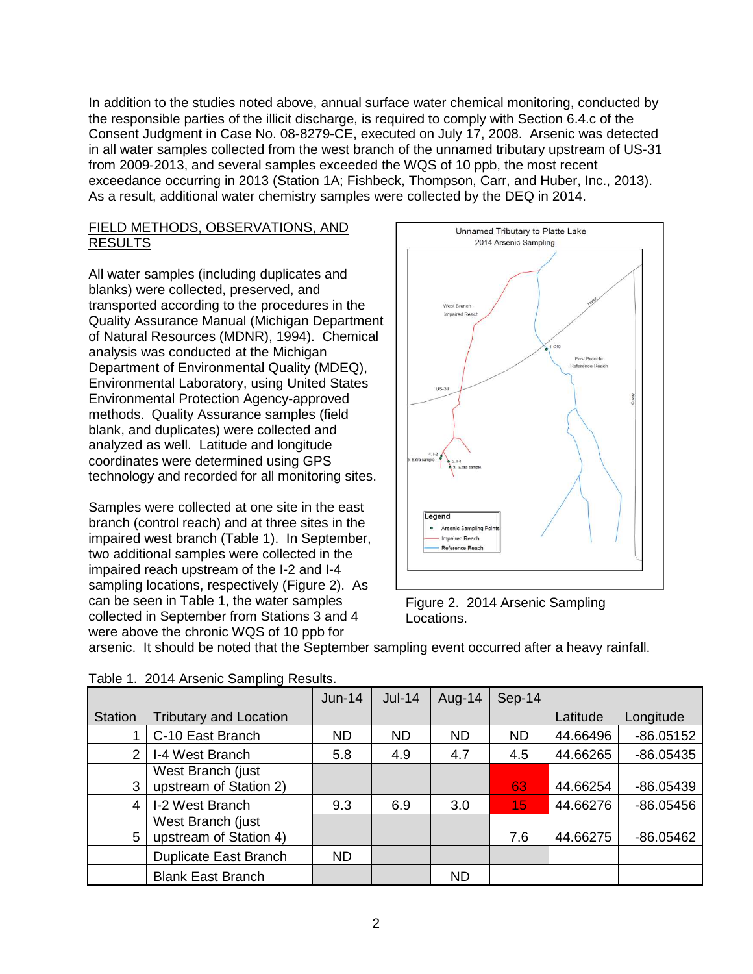In addition to the studies noted above, annual surface water chemical monitoring, conducted by the responsible parties of the illicit discharge, is required to comply with Section 6.4.c of the Consent Judgment in Case No. 08-8279-CE, executed on July 17, 2008. Arsenic was detected in all water samples collected from the west branch of the unnamed tributary upstream of US-31 from 2009-2013, and several samples exceeded the WQS of 10 ppb, the most recent exceedance occurring in 2013 (Station 1A; Fishbeck, Thompson, Carr, and Huber, Inc., 2013). As a result, additional water chemistry samples were collected by the DEQ in 2014.

# FIELD METHODS, OBSERVATIONS, AND RESULTS

All water samples (including duplicates and blanks) were collected, preserved, and transported according to the procedures in the Quality Assurance Manual (Michigan Department of Natural Resources (MDNR), 1994). Chemical analysis was conducted at the Michigan Department of Environmental Quality (MDEQ), Environmental Laboratory, using United States Environmental Protection Agency-approved methods. Quality Assurance samples (field blank, and duplicates) were collected and analyzed as well. Latitude and longitude coordinates were determined using GPS technology and recorded for all monitoring sites.

Samples were collected at one site in the east branch (control reach) and at three sites in the impaired west branch (Table 1). In September, two additional samples were collected in the impaired reach upstream of the I-2 and I-4 sampling locations, respectively (Figure 2). As can be seen in Table 1, the water samples collected in September from Stations 3 and 4 were above the chronic WQS of 10 ppb for



Figure 2. 2014 Arsenic Sampling Locations.

| arsenic. It should be noted that the September sampling event occurred after a heavy rainfall. |  |
|------------------------------------------------------------------------------------------------|--|

|                |                                             | $Jun-14$  | $Jul-14$  | Aug-14    | Sep-14    |          |             |
|----------------|---------------------------------------------|-----------|-----------|-----------|-----------|----------|-------------|
| <b>Station</b> | <b>Tributary and Location</b>               |           |           |           |           | Latitude | Longitude   |
|                | C-10 East Branch                            | <b>ND</b> | <b>ND</b> | <b>ND</b> | <b>ND</b> | 44.66496 | $-86.05152$ |
| 2              | I-4 West Branch                             | 5.8       | 4.9       | 4.7       | 4.5       | 44.66265 | $-86.05435$ |
| 3              | West Branch (just<br>upstream of Station 2) |           |           |           | 63        | 44.66254 | $-86.05439$ |
| 4              | I-2 West Branch                             | 9.3       | 6.9       | 3.0       | 15        | 44.66276 | $-86.05456$ |
| 5              | West Branch (just<br>upstream of Station 4) |           |           |           | 7.6       | 44.66275 | $-86.05462$ |
|                | Duplicate East Branch                       | <b>ND</b> |           |           |           |          |             |
|                | <b>Blank East Branch</b>                    |           |           | <b>ND</b> |           |          |             |

|  | Table 1. 2014 Arsenic Sampling Results. |  |
|--|-----------------------------------------|--|
|  |                                         |  |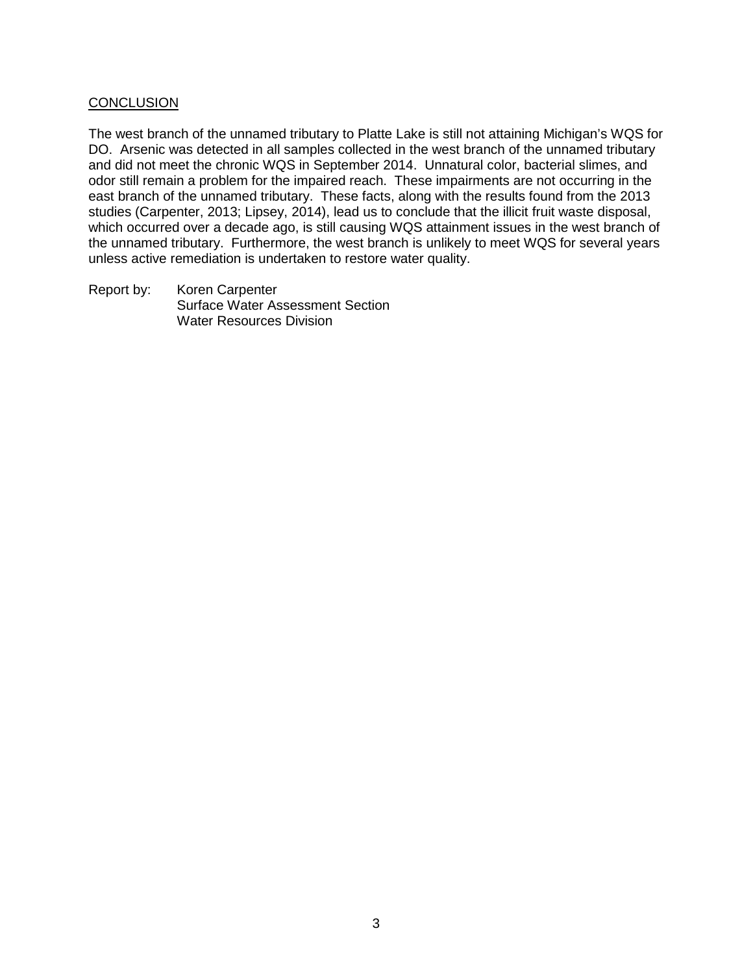## **CONCLUSION**

The west branch of the unnamed tributary to Platte Lake is still not attaining Michigan's WQS for DO. Arsenic was detected in all samples collected in the west branch of the unnamed tributary and did not meet the chronic WQS in September 2014. Unnatural color, bacterial slimes, and odor still remain a problem for the impaired reach. These impairments are not occurring in the east branch of the unnamed tributary. These facts, along with the results found from the 2013 studies (Carpenter, 2013; Lipsey, 2014), lead us to conclude that the illicit fruit waste disposal, which occurred over a decade ago, is still causing WQS attainment issues in the west branch of the unnamed tributary. Furthermore, the west branch is unlikely to meet WQS for several years unless active remediation is undertaken to restore water quality.

Report by: Koren Carpenter Surface Water Assessment Section Water Resources Division